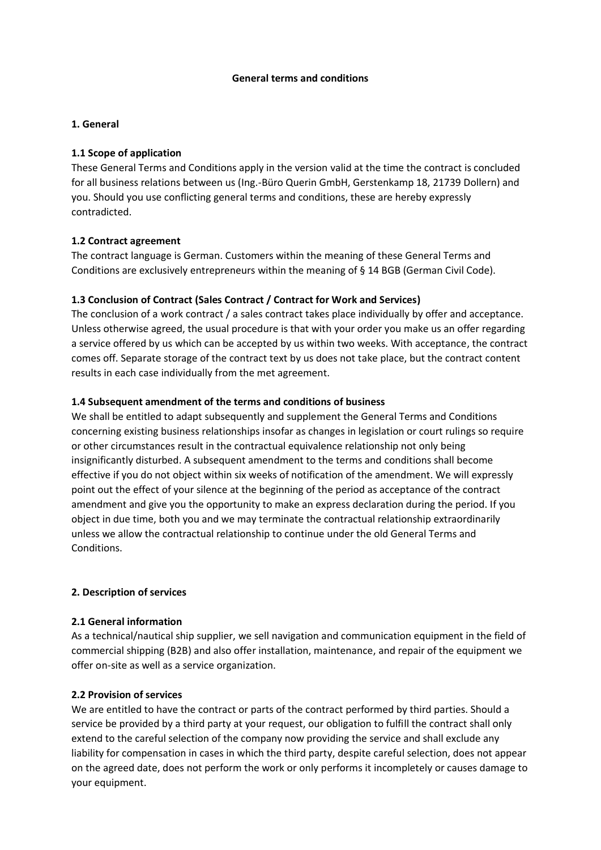#### **General terms and conditions**

#### **1. General**

#### **1.1 Scope of application**

These General Terms and Conditions apply in the version valid at the time the contract is concluded for all business relations between us (Ing.-Büro Querin GmbH, Gerstenkamp 18, 21739 Dollern) and you. Should you use conflicting general terms and conditions, these are hereby expressly contradicted.

### **1.2 Contract agreement**

The contract language is German. Customers within the meaning of these General Terms and Conditions are exclusively entrepreneurs within the meaning of § 14 BGB (German Civil Code).

### **1.3 Conclusion of Contract (Sales Contract / Contract for Work and Services)**

The conclusion of a work contract / a sales contract takes place individually by offer and acceptance. Unless otherwise agreed, the usual procedure is that with your order you make us an offer regarding a service offered by us which can be accepted by us within two weeks. With acceptance, the contract comes off. Separate storage of the contract text by us does not take place, but the contract content results in each case individually from the met agreement.

### **1.4 Subsequent amendment of the terms and conditions of business**

We shall be entitled to adapt subsequently and supplement the General Terms and Conditions concerning existing business relationships insofar as changes in legislation or court rulings so require or other circumstances result in the contractual equivalence relationship not only being insignificantly disturbed. A subsequent amendment to the terms and conditions shall become effective if you do not object within six weeks of notification of the amendment. We will expressly point out the effect of your silence at the beginning of the period as acceptance of the contract amendment and give you the opportunity to make an express declaration during the period. If you object in due time, both you and we may terminate the contractual relationship extraordinarily unless we allow the contractual relationship to continue under the old General Terms and Conditions.

#### **2. Description of services**

#### **2.1 General information**

As a technical/nautical ship supplier, we sell navigation and communication equipment in the field of commercial shipping (B2B) and also offer installation, maintenance, and repair of the equipment we offer on-site as well as a service organization.

#### **2.2 Provision of services**

We are entitled to have the contract or parts of the contract performed by third parties. Should a service be provided by a third party at your request, our obligation to fulfill the contract shall only extend to the careful selection of the company now providing the service and shall exclude any liability for compensation in cases in which the third party, despite careful selection, does not appear on the agreed date, does not perform the work or only performs it incompletely or causes damage to your equipment.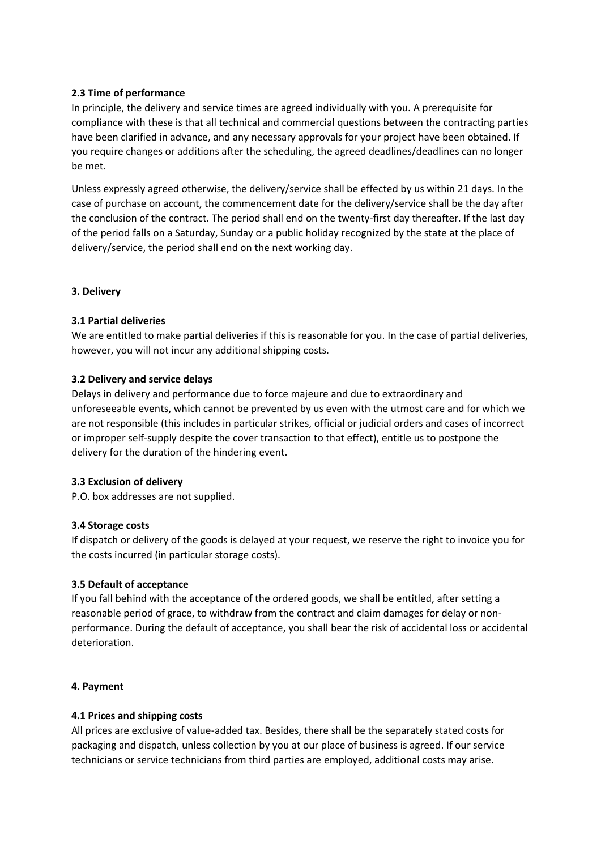### **2.3 Time of performance**

In principle, the delivery and service times are agreed individually with you. A prerequisite for compliance with these is that all technical and commercial questions between the contracting parties have been clarified in advance, and any necessary approvals for your project have been obtained. If you require changes or additions after the scheduling, the agreed deadlines/deadlines can no longer be met.

Unless expressly agreed otherwise, the delivery/service shall be effected by us within 21 days. In the case of purchase on account, the commencement date for the delivery/service shall be the day after the conclusion of the contract. The period shall end on the twenty-first day thereafter. If the last day of the period falls on a Saturday, Sunday or a public holiday recognized by the state at the place of delivery/service, the period shall end on the next working day.

### **3. Delivery**

### **3.1 Partial deliveries**

We are entitled to make partial deliveries if this is reasonable for you. In the case of partial deliveries, however, you will not incur any additional shipping costs.

### **3.2 Delivery and service delays**

Delays in delivery and performance due to force majeure and due to extraordinary and unforeseeable events, which cannot be prevented by us even with the utmost care and for which we are not responsible (this includes in particular strikes, official or judicial orders and cases of incorrect or improper self-supply despite the cover transaction to that effect), entitle us to postpone the delivery for the duration of the hindering event.

#### **3.3 Exclusion of delivery**

P.O. box addresses are not supplied.

#### **3.4 Storage costs**

If dispatch or delivery of the goods is delayed at your request, we reserve the right to invoice you for the costs incurred (in particular storage costs).

# **3.5 Default of acceptance**

If you fall behind with the acceptance of the ordered goods, we shall be entitled, after setting a reasonable period of grace, to withdraw from the contract and claim damages for delay or nonperformance. During the default of acceptance, you shall bear the risk of accidental loss or accidental deterioration.

#### **4. Payment**

# **4.1 Prices and shipping costs**

All prices are exclusive of value-added tax. Besides, there shall be the separately stated costs for packaging and dispatch, unless collection by you at our place of business is agreed. If our service technicians or service technicians from third parties are employed, additional costs may arise.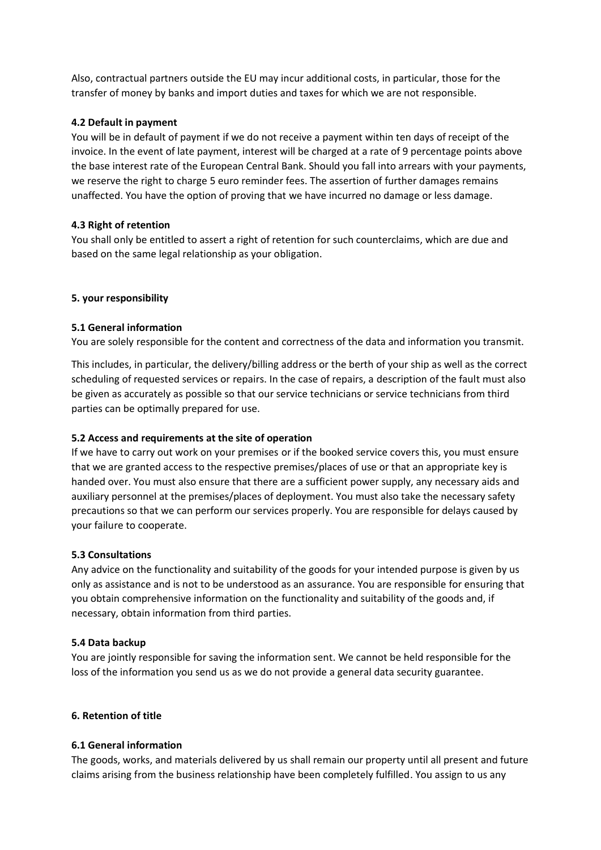Also, contractual partners outside the EU may incur additional costs, in particular, those for the transfer of money by banks and import duties and taxes for which we are not responsible.

# **4.2 Default in payment**

You will be in default of payment if we do not receive a payment within ten days of receipt of the invoice. In the event of late payment, interest will be charged at a rate of 9 percentage points above the base interest rate of the European Central Bank. Should you fall into arrears with your payments, we reserve the right to charge 5 euro reminder fees. The assertion of further damages remains unaffected. You have the option of proving that we have incurred no damage or less damage.

# **4.3 Right of retention**

You shall only be entitled to assert a right of retention for such counterclaims, which are due and based on the same legal relationship as your obligation.

# **5. your responsibility**

# **5.1 General information**

You are solely responsible for the content and correctness of the data and information you transmit.

This includes, in particular, the delivery/billing address or the berth of your ship as well as the correct scheduling of requested services or repairs. In the case of repairs, a description of the fault must also be given as accurately as possible so that our service technicians or service technicians from third parties can be optimally prepared for use.

# **5.2 Access and requirements at the site of operation**

If we have to carry out work on your premises or if the booked service covers this, you must ensure that we are granted access to the respective premises/places of use or that an appropriate key is handed over. You must also ensure that there are a sufficient power supply, any necessary aids and auxiliary personnel at the premises/places of deployment. You must also take the necessary safety precautions so that we can perform our services properly. You are responsible for delays caused by your failure to cooperate.

# **5.3 Consultations**

Any advice on the functionality and suitability of the goods for your intended purpose is given by us only as assistance and is not to be understood as an assurance. You are responsible for ensuring that you obtain comprehensive information on the functionality and suitability of the goods and, if necessary, obtain information from third parties.

# **5.4 Data backup**

You are jointly responsible for saving the information sent. We cannot be held responsible for the loss of the information you send us as we do not provide a general data security guarantee.

# **6. Retention of title**

# **6.1 General information**

The goods, works, and materials delivered by us shall remain our property until all present and future claims arising from the business relationship have been completely fulfilled. You assign to us any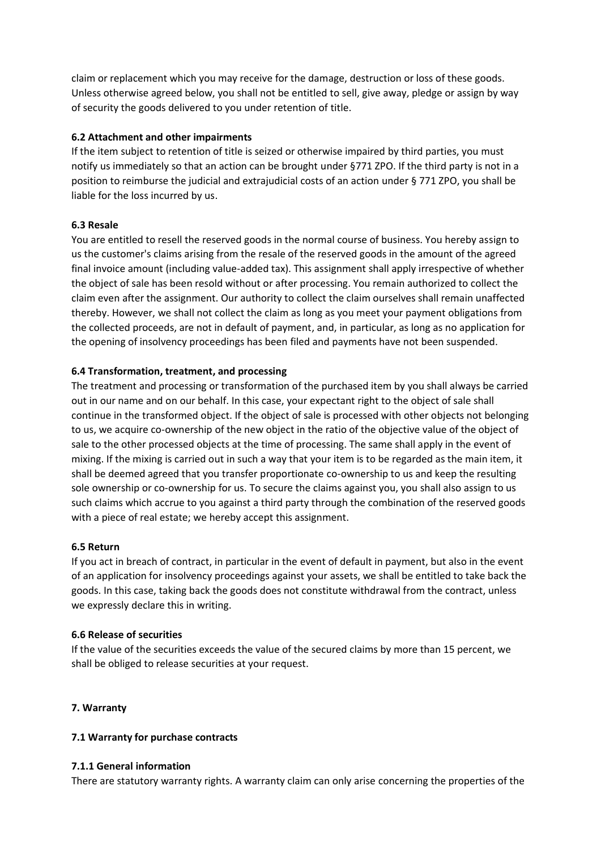claim or replacement which you may receive for the damage, destruction or loss of these goods. Unless otherwise agreed below, you shall not be entitled to sell, give away, pledge or assign by way of security the goods delivered to you under retention of title.

### **6.2 Attachment and other impairments**

If the item subject to retention of title is seized or otherwise impaired by third parties, you must notify us immediately so that an action can be brought under §771 ZPO. If the third party is not in a position to reimburse the judicial and extrajudicial costs of an action under § 771 ZPO, you shall be liable for the loss incurred by us.

# **6.3 Resale**

You are entitled to resell the reserved goods in the normal course of business. You hereby assign to us the customer's claims arising from the resale of the reserved goods in the amount of the agreed final invoice amount (including value-added tax). This assignment shall apply irrespective of whether the object of sale has been resold without or after processing. You remain authorized to collect the claim even after the assignment. Our authority to collect the claim ourselves shall remain unaffected thereby. However, we shall not collect the claim as long as you meet your payment obligations from the collected proceeds, are not in default of payment, and, in particular, as long as no application for the opening of insolvency proceedings has been filed and payments have not been suspended.

### **6.4 Transformation, treatment, and processing**

The treatment and processing or transformation of the purchased item by you shall always be carried out in our name and on our behalf. In this case, your expectant right to the object of sale shall continue in the transformed object. If the object of sale is processed with other objects not belonging to us, we acquire co-ownership of the new object in the ratio of the objective value of the object of sale to the other processed objects at the time of processing. The same shall apply in the event of mixing. If the mixing is carried out in such a way that your item is to be regarded as the main item, it shall be deemed agreed that you transfer proportionate co-ownership to us and keep the resulting sole ownership or co-ownership for us. To secure the claims against you, you shall also assign to us such claims which accrue to you against a third party through the combination of the reserved goods with a piece of real estate; we hereby accept this assignment.

# **6.5 Return**

If you act in breach of contract, in particular in the event of default in payment, but also in the event of an application for insolvency proceedings against your assets, we shall be entitled to take back the goods. In this case, taking back the goods does not constitute withdrawal from the contract, unless we expressly declare this in writing.

#### **6.6 Release of securities**

If the value of the securities exceeds the value of the secured claims by more than 15 percent, we shall be obliged to release securities at your request.

# **7. Warranty**

# **7.1 Warranty for purchase contracts**

# **7.1.1 General information**

There are statutory warranty rights. A warranty claim can only arise concerning the properties of the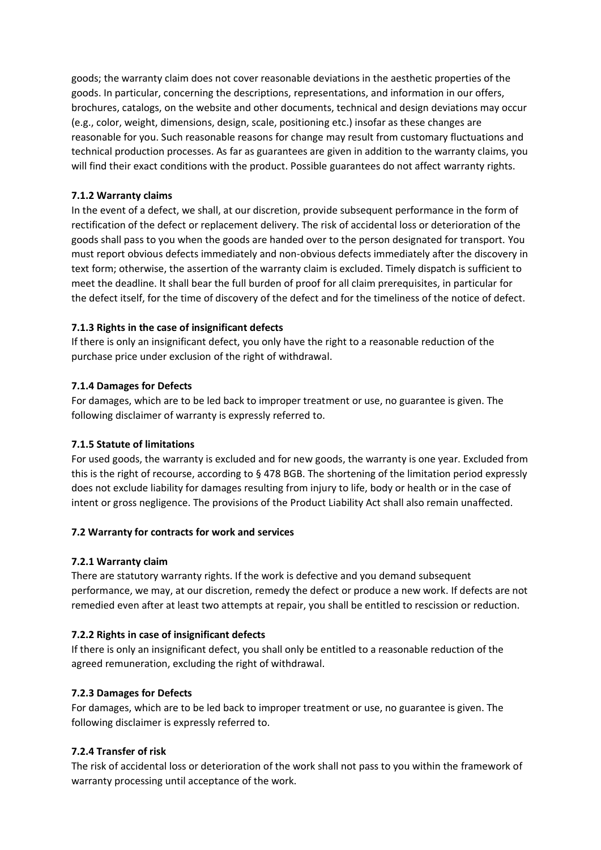goods; the warranty claim does not cover reasonable deviations in the aesthetic properties of the goods. In particular, concerning the descriptions, representations, and information in our offers, brochures, catalogs, on the website and other documents, technical and design deviations may occur (e.g., color, weight, dimensions, design, scale, positioning etc.) insofar as these changes are reasonable for you. Such reasonable reasons for change may result from customary fluctuations and technical production processes. As far as guarantees are given in addition to the warranty claims, you will find their exact conditions with the product. Possible guarantees do not affect warranty rights.

# **7.1.2 Warranty claims**

In the event of a defect, we shall, at our discretion, provide subsequent performance in the form of rectification of the defect or replacement delivery. The risk of accidental loss or deterioration of the goods shall pass to you when the goods are handed over to the person designated for transport. You must report obvious defects immediately and non-obvious defects immediately after the discovery in text form; otherwise, the assertion of the warranty claim is excluded. Timely dispatch is sufficient to meet the deadline. It shall bear the full burden of proof for all claim prerequisites, in particular for the defect itself, for the time of discovery of the defect and for the timeliness of the notice of defect.

# **7.1.3 Rights in the case of insignificant defects**

If there is only an insignificant defect, you only have the right to a reasonable reduction of the purchase price under exclusion of the right of withdrawal.

# **7.1.4 Damages for Defects**

For damages, which are to be led back to improper treatment or use, no guarantee is given. The following disclaimer of warranty is expressly referred to.

# **7.1.5 Statute of limitations**

For used goods, the warranty is excluded and for new goods, the warranty is one year. Excluded from this is the right of recourse, according to § 478 BGB. The shortening of the limitation period expressly does not exclude liability for damages resulting from injury to life, body or health or in the case of intent or gross negligence. The provisions of the Product Liability Act shall also remain unaffected.

# **7.2 Warranty for contracts for work and services**

# **7.2.1 Warranty claim**

There are statutory warranty rights. If the work is defective and you demand subsequent performance, we may, at our discretion, remedy the defect or produce a new work. If defects are not remedied even after at least two attempts at repair, you shall be entitled to rescission or reduction.

# **7.2.2 Rights in case of insignificant defects**

If there is only an insignificant defect, you shall only be entitled to a reasonable reduction of the agreed remuneration, excluding the right of withdrawal.

# **7.2.3 Damages for Defects**

For damages, which are to be led back to improper treatment or use, no guarantee is given. The following disclaimer is expressly referred to.

# **7.2.4 Transfer of risk**

The risk of accidental loss or deterioration of the work shall not pass to you within the framework of warranty processing until acceptance of the work.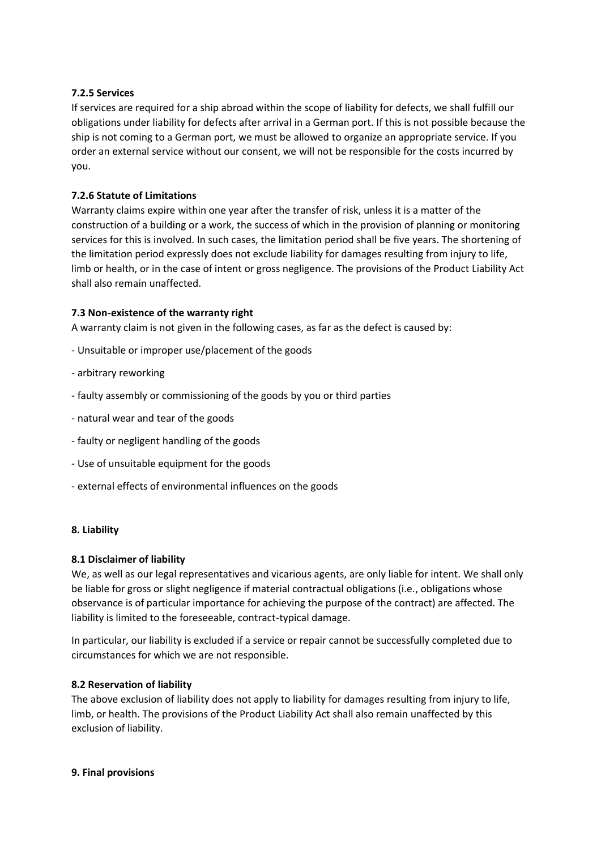### **7.2.5 Services**

If services are required for a ship abroad within the scope of liability for defects, we shall fulfill our obligations under liability for defects after arrival in a German port. If this is not possible because the ship is not coming to a German port, we must be allowed to organize an appropriate service. If you order an external service without our consent, we will not be responsible for the costs incurred by you.

### **7.2.6 Statute of Limitations**

Warranty claims expire within one year after the transfer of risk, unless it is a matter of the construction of a building or a work, the success of which in the provision of planning or monitoring services for this is involved. In such cases, the limitation period shall be five years. The shortening of the limitation period expressly does not exclude liability for damages resulting from injury to life, limb or health, or in the case of intent or gross negligence. The provisions of the Product Liability Act shall also remain unaffected.

### **7.3 Non-existence of the warranty right**

A warranty claim is not given in the following cases, as far as the defect is caused by:

- Unsuitable or improper use/placement of the goods
- arbitrary reworking
- faulty assembly or commissioning of the goods by you or third parties
- natural wear and tear of the goods
- faulty or negligent handling of the goods
- Use of unsuitable equipment for the goods
- external effects of environmental influences on the goods

#### **8. Liability**

#### **8.1 Disclaimer of liability**

We, as well as our legal representatives and vicarious agents, are only liable for intent. We shall only be liable for gross or slight negligence if material contractual obligations (i.e., obligations whose observance is of particular importance for achieving the purpose of the contract) are affected. The liability is limited to the foreseeable, contract-typical damage.

In particular, our liability is excluded if a service or repair cannot be successfully completed due to circumstances for which we are not responsible.

#### **8.2 Reservation of liability**

The above exclusion of liability does not apply to liability for damages resulting from injury to life, limb, or health. The provisions of the Product Liability Act shall also remain unaffected by this exclusion of liability.

#### **9. Final provisions**